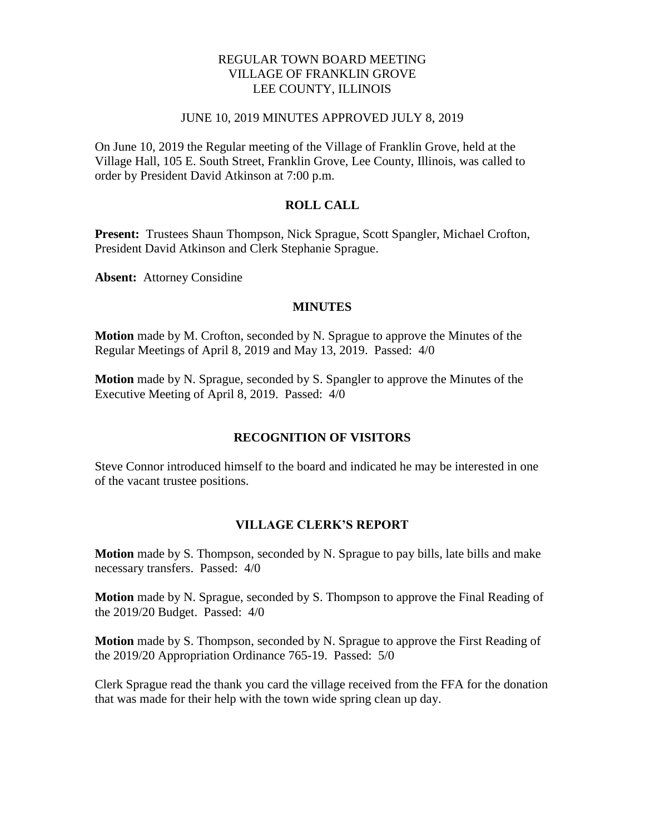# REGULAR TOWN BOARD MEETING VILLAGE OF FRANKLIN GROVE LEE COUNTY, ILLINOIS

#### JUNE 10, 2019 MINUTES APPROVED JULY 8, 2019

On June 10, 2019 the Regular meeting of the Village of Franklin Grove, held at the Village Hall, 105 E. South Street, Franklin Grove, Lee County, Illinois, was called to order by President David Atkinson at 7:00 p.m.

### **ROLL CALL**

**Present:** Trustees Shaun Thompson, Nick Sprague, Scott Spangler, Michael Crofton, President David Atkinson and Clerk Stephanie Sprague.

**Absent:** Attorney Considine

#### **MINUTES**

**Motion** made by M. Crofton, seconded by N. Sprague to approve the Minutes of the Regular Meetings of April 8, 2019 and May 13, 2019. Passed: 4/0

**Motion** made by N. Sprague, seconded by S. Spangler to approve the Minutes of the Executive Meeting of April 8, 2019. Passed: 4/0

#### **RECOGNITION OF VISITORS**

Steve Connor introduced himself to the board and indicated he may be interested in one of the vacant trustee positions.

#### **VILLAGE CLERK'S REPORT**

**Motion** made by S. Thompson, seconded by N. Sprague to pay bills, late bills and make necessary transfers. Passed: 4/0

**Motion** made by N. Sprague, seconded by S. Thompson to approve the Final Reading of the 2019/20 Budget. Passed: 4/0

**Motion** made by S. Thompson, seconded by N. Sprague to approve the First Reading of the 2019/20 Appropriation Ordinance 765-19. Passed: 5/0

Clerk Sprague read the thank you card the village received from the FFA for the donation that was made for their help with the town wide spring clean up day.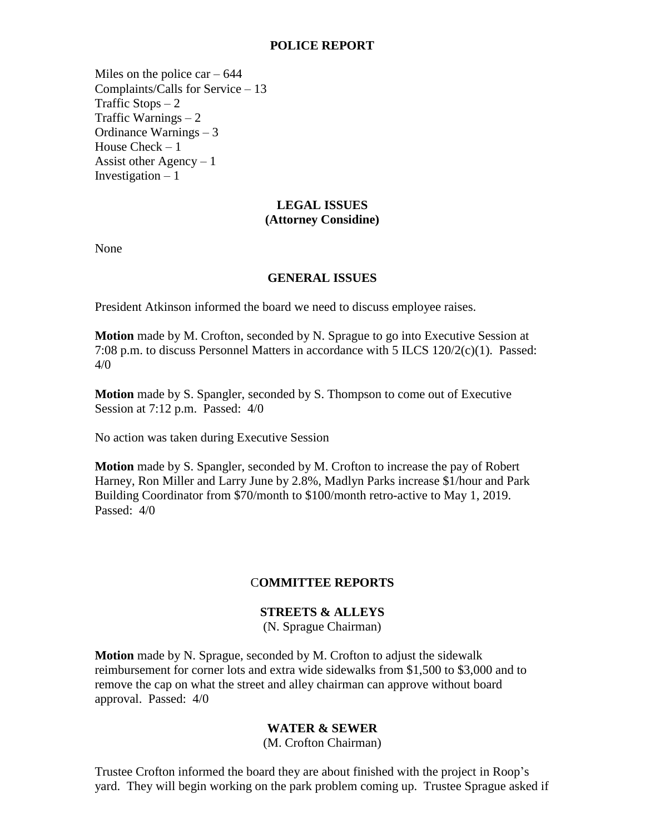### **POLICE REPORT**

Miles on the police car  $-644$ Complaints/Calls for Service – 13 Traffic Stops  $-2$ Traffic Warnings – 2 Ordinance Warnings – 3 House Check – 1 Assist other Agency  $-1$ Investigation  $-1$ 

# **LEGAL ISSUES (Attorney Considine)**

None

### **GENERAL ISSUES**

President Atkinson informed the board we need to discuss employee raises.

**Motion** made by M. Crofton, seconded by N. Sprague to go into Executive Session at 7:08 p.m. to discuss Personnel Matters in accordance with 5 ILCS 120/2(c)(1). Passed: 4/0

**Motion** made by S. Spangler, seconded by S. Thompson to come out of Executive Session at 7:12 p.m. Passed: 4/0

No action was taken during Executive Session

**Motion** made by S. Spangler, seconded by M. Crofton to increase the pay of Robert Harney, Ron Miller and Larry June by 2.8%, Madlyn Parks increase \$1/hour and Park Building Coordinator from \$70/month to \$100/month retro-active to May 1, 2019. Passed: 4/0

# C**OMMITTEE REPORTS**

# **STREETS & ALLEYS**

(N. Sprague Chairman)

**Motion** made by N. Sprague, seconded by M. Crofton to adjust the sidewalk reimbursement for corner lots and extra wide sidewalks from \$1,500 to \$3,000 and to remove the cap on what the street and alley chairman can approve without board approval. Passed: 4/0

# **WATER & SEWER**

(M. Crofton Chairman)

Trustee Crofton informed the board they are about finished with the project in Roop's yard. They will begin working on the park problem coming up. Trustee Sprague asked if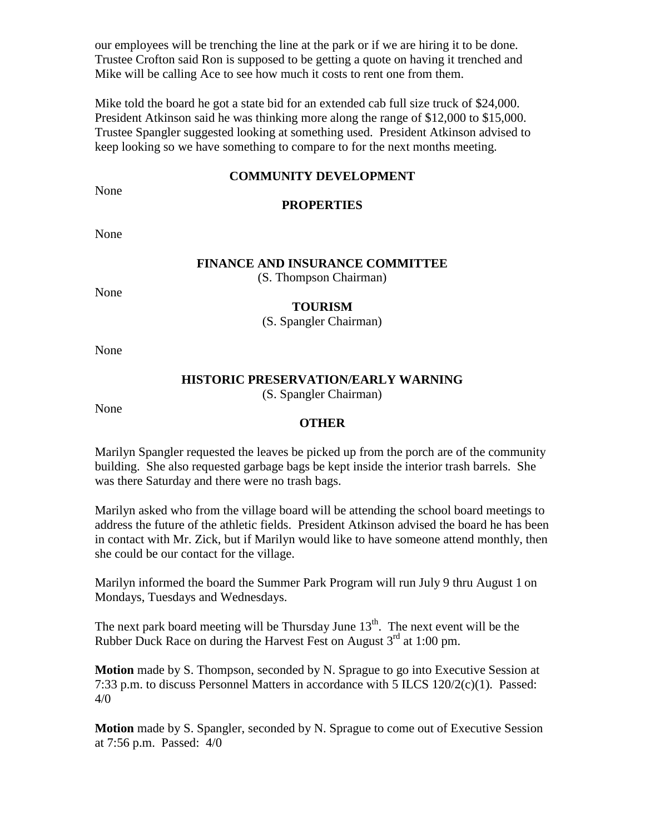our employees will be trenching the line at the park or if we are hiring it to be done. Trustee Crofton said Ron is supposed to be getting a quote on having it trenched and Mike will be calling Ace to see how much it costs to rent one from them.

Mike told the board he got a state bid for an extended cab full size truck of \$24,000. President Atkinson said he was thinking more along the range of \$12,000 to \$15,000. Trustee Spangler suggested looking at something used. President Atkinson advised to keep looking so we have something to compare to for the next months meeting.

### **COMMUNITY DEVELOPMENT**

None

# **PROPERTIES**

None

### **FINANCE AND INSURANCE COMMITTEE**

(S. Thompson Chairman)

None

#### **TOURISM**

(S. Spangler Chairman)

None

# **HISTORIC PRESERVATION/EARLY WARNING**

(S. Spangler Chairman)

None

### **OTHER**

Marilyn Spangler requested the leaves be picked up from the porch are of the community building. She also requested garbage bags be kept inside the interior trash barrels. She was there Saturday and there were no trash bags.

Marilyn asked who from the village board will be attending the school board meetings to address the future of the athletic fields. President Atkinson advised the board he has been in contact with Mr. Zick, but if Marilyn would like to have someone attend monthly, then she could be our contact for the village.

Marilyn informed the board the Summer Park Program will run July 9 thru August 1 on Mondays, Tuesdays and Wednesdays.

The next park board meeting will be Thursday June  $13<sup>th</sup>$ . The next event will be the Rubber Duck Race on during the Harvest Fest on August  $3<sup>rd</sup>$  at 1:00 pm.

**Motion** made by S. Thompson, seconded by N. Sprague to go into Executive Session at 7:33 p.m. to discuss Personnel Matters in accordance with 5 ILCS 120/2(c)(1). Passed: 4/0

**Motion** made by S. Spangler, seconded by N. Sprague to come out of Executive Session at 7:56 p.m. Passed: 4/0